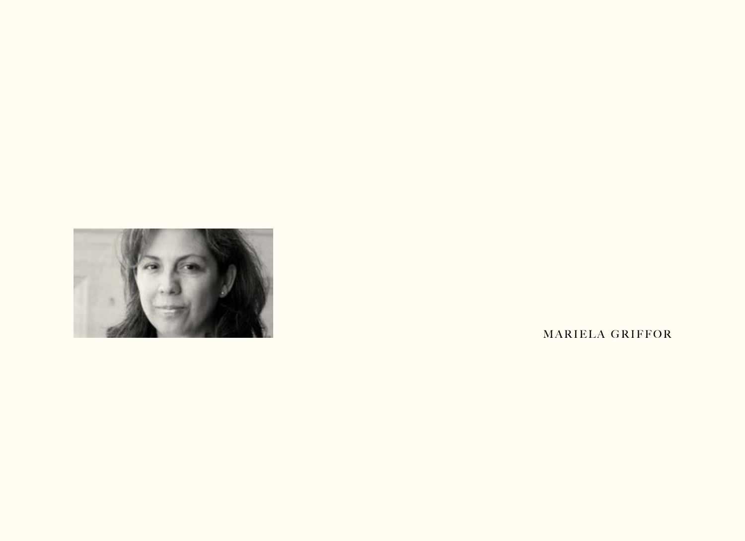

MARIELA GRIFFOR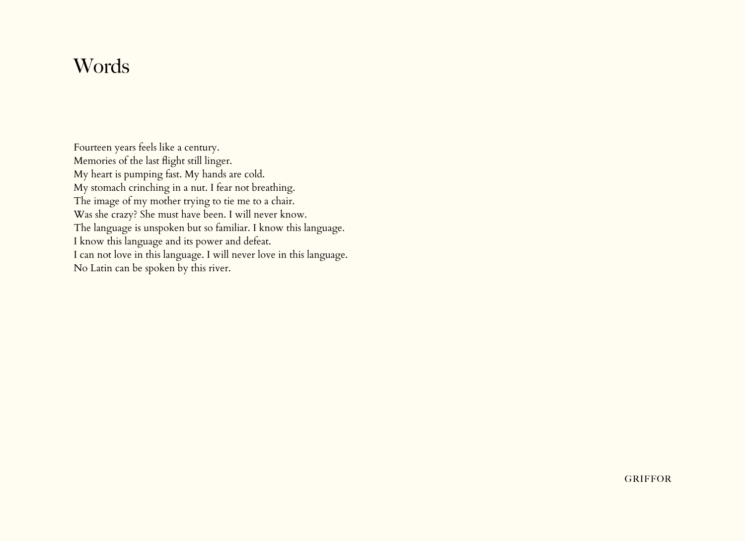# **Words**

Fourteen years feels like a century. Memories of the last flight still linger. My heart is pumping fast. My hands are cold. My stomach crinching in a nut. I fear not breathing. The image of my mother trying to tie me to a chair. Was she crazy? She must have been. I will never know. The language is unspoken but so familiar. I know this language. I know this language and its power and defeat. I can not love in this language. I will never love in this language. No Latin can be spoken by this river.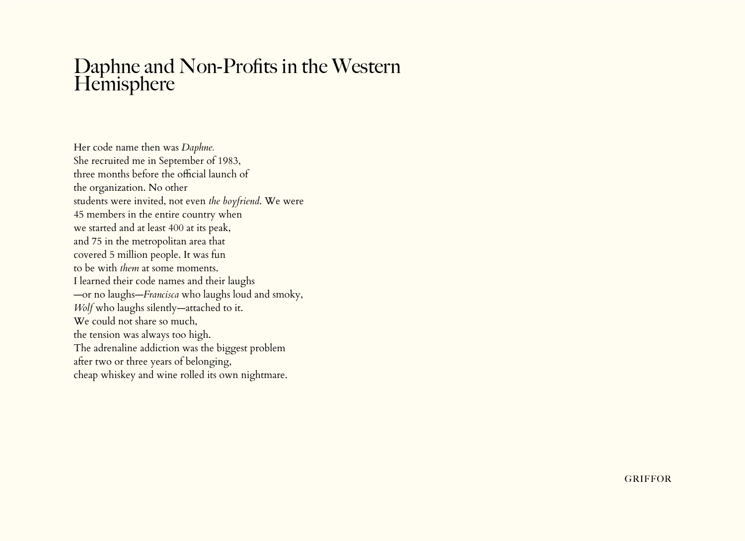#### Daphne and Non-Profits in the Western **Hemisphere**

Her code name then was *Daphne.* She recruited me in September of 1983, three months before the official launch of the organization. No other students were invited, not even *the boyfriend*. We were 45 members in the entire country when we started and at least 400 at its peak, and 75 in the metropolitan area that covered 5 million people. It was fun to be with *them* at some moments. I learned their code names and their laughs —or no laughs—*Francisca* who laughs loud and smoky, *Wolf* who laughs silently—attached to it. We could not share so much, the tension was always too high. The adrenaline addiction was the biggest problem after two or three years of belonging, cheap whiskey and wine rolled its own nightmare.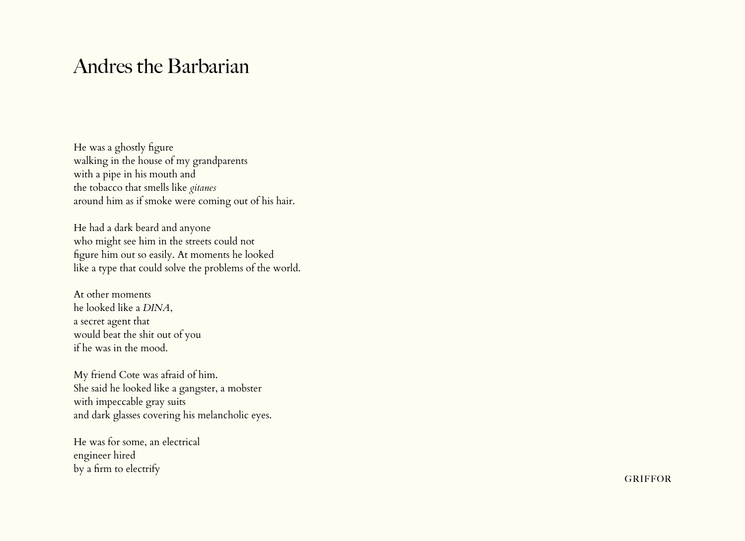## Andres the Barbarian

He was a ghostly figure walking in the house of my grandparents with a pipe in his mouth and the tobacco that smells like *gitanes* around him as if smoke were coming out of his hair.

He had a dark beard and anyone who might see him in the streets could not figure him out so easily. At moments he looked like a type that could solve the problems of the world.

At other moments he looked like a *DINA*, a secret agent that would beat the shit out of you if he was in the mood.

My friend Cote was afraid of him. She said he looked like a gangster, a mobster with impeccable gray suits and dark glasses covering his melancholic eyes.

He was for some, an electrical engineer hired by a firm to electrify

**GRIFFOR**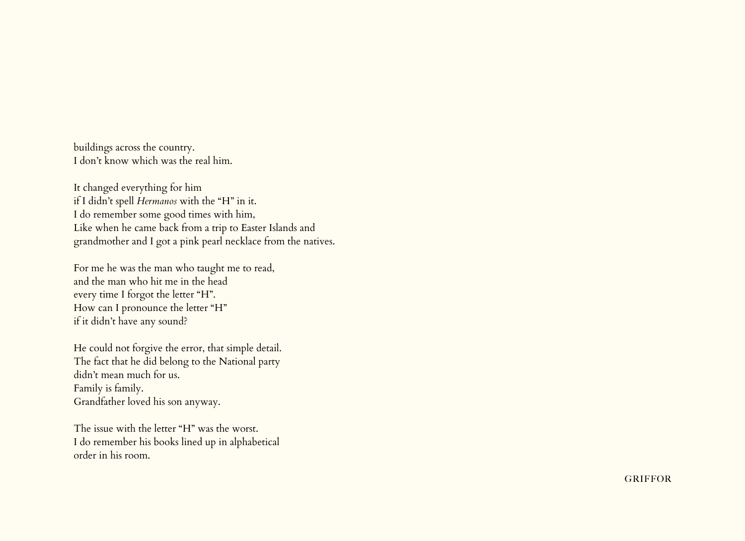buildings across the country. I don't know which was the real him.

It changed everything for him if I didn't spell *Hermanos* with the "H" in it. I do remember some good times with him, Like when he came back from a trip to Easter Islands and grandmother and I got a pink pearl necklace from the natives.

For me he was the man who taught me to read, and the man who hit me in the head every time I forgot the letter "H". How can I pronounce the letter "H" if it didn't have any sound?

He could not forgive the error, that simple detail. The fact that he did belong to the National party didn't mean much for us. Family is family. Grandfather loved his son anyway.

The issue with the letter "H" was the worst. I do remember his books lined up in alphabetical order in his room.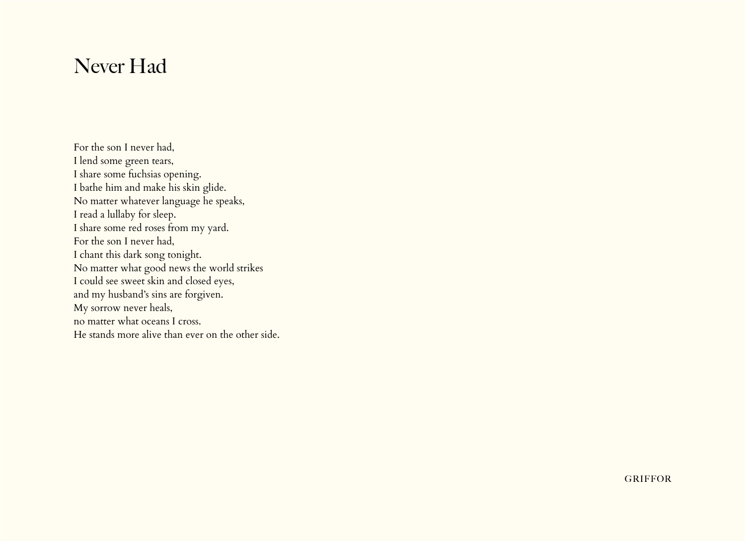# Never Had

For the son I never had, I lend some green tears, I share some fuchsias opening. I bathe him and make his skin glide. No matter whatever language he speaks, I read a lullaby for sleep. I share some red roses from my yard. For the son I never had, I chant this dark song tonight. No matter what good news the world strikes I could see sweet skin and closed eyes, and my husband's sins are forgiven. My sorrow never heals, no matter what oceans I cross. He stands more alive than ever on the other side.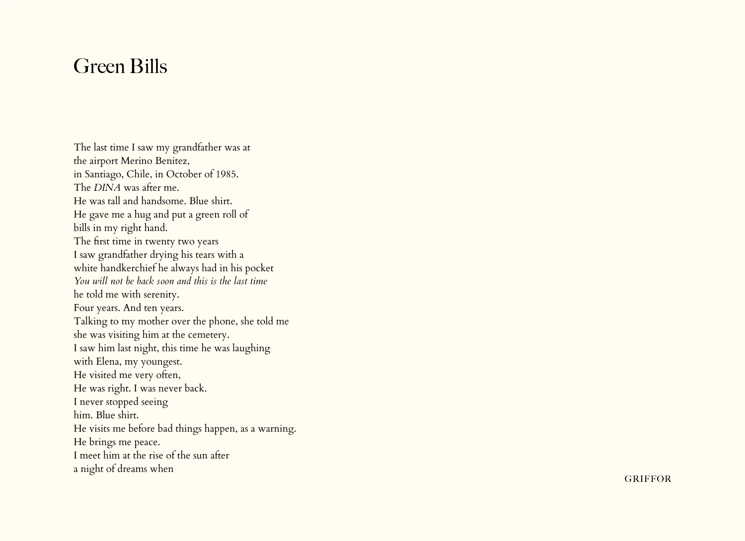## Green Bills

The last time I saw my grandfather was at the airport Merino Benitez, in Santiago, Chile, in October of 1985. The *DINA* was after me. He was tall and handsome. Blue shirt. He gave me a hug and put a green roll of bills in my right hand. The first time in twenty two years I saw grandfather drying his tears with a white handkerchief he always had in his pocket *You will not be back soon and this is the last time*  he told me with serenity. Four years. And ten years. Talking to my mother over the phone, she told me she was visiting him at the cemetery. I saw him last night, this time he was laughing with Elena, my youngest. He visited me very often, He was right. I was never back. I never stopped seeing him. Blue shirt. He visits me before bad things happen, as a warning. He brings me peace. I meet him at the rise of the sun after a night of dreams when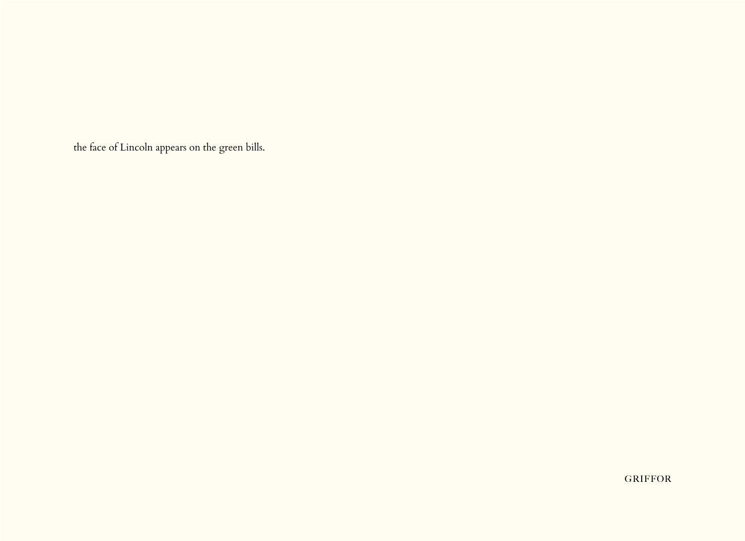the face of Lincoln appears on the green bills.

**GRIFFOR**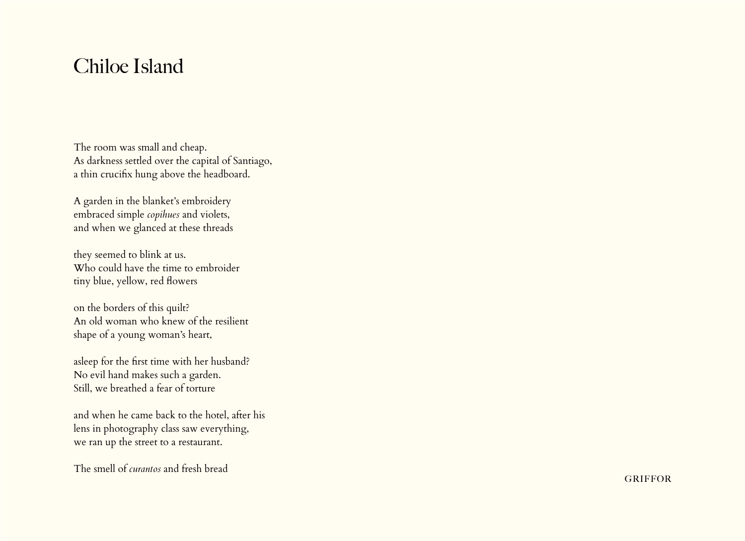# Chiloe Island

The room was small and cheap. As darkness settled over the capital of Santiago, a thin crucifix hung above the headboard.

A garden in the blanket's embroidery embraced simple *copihues* and violets, and when we glanced at these threads

they seemed to blink at us. Who could have the time to embroider tiny blue, yellow, red flowers

on the borders of this quilt? An old woman who knew of the resilient shape of a young woman's heart,

asleep for the first time with her husband? No evil hand makes such a garden. Still, we breathed a fear of torture

and when he came back to the hotel, after his lens in photography class saw everything, we ran up the street to a restaurant.

The smell of *curantos* and fresh bread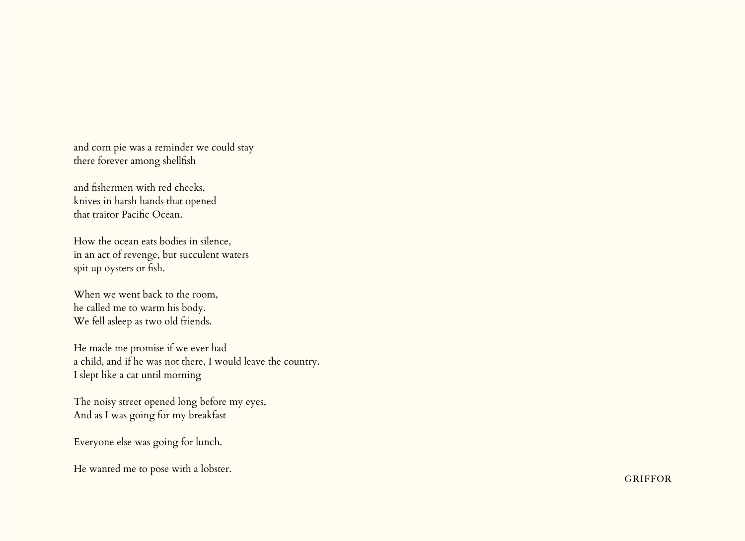and corn pie was a reminder we could stay there forever among shellfish

and fishermen with red cheeks, knives in harsh hands that opened that traitor Pacific Ocean.

How the ocean eats bodies in silence, in an act of revenge, but succulent waters spit up oysters or fish.

When we went back to the room, he called me to warm his body. We fell asleep as two old friends.

He made me promise if we ever had a child, and if he was not there, I would leave the country. I slept like a cat until morning

The noisy street opened long before my eyes, And as I was going for my breakfast

Everyone else was going for lunch.

He wanted me to pose with a lobster.